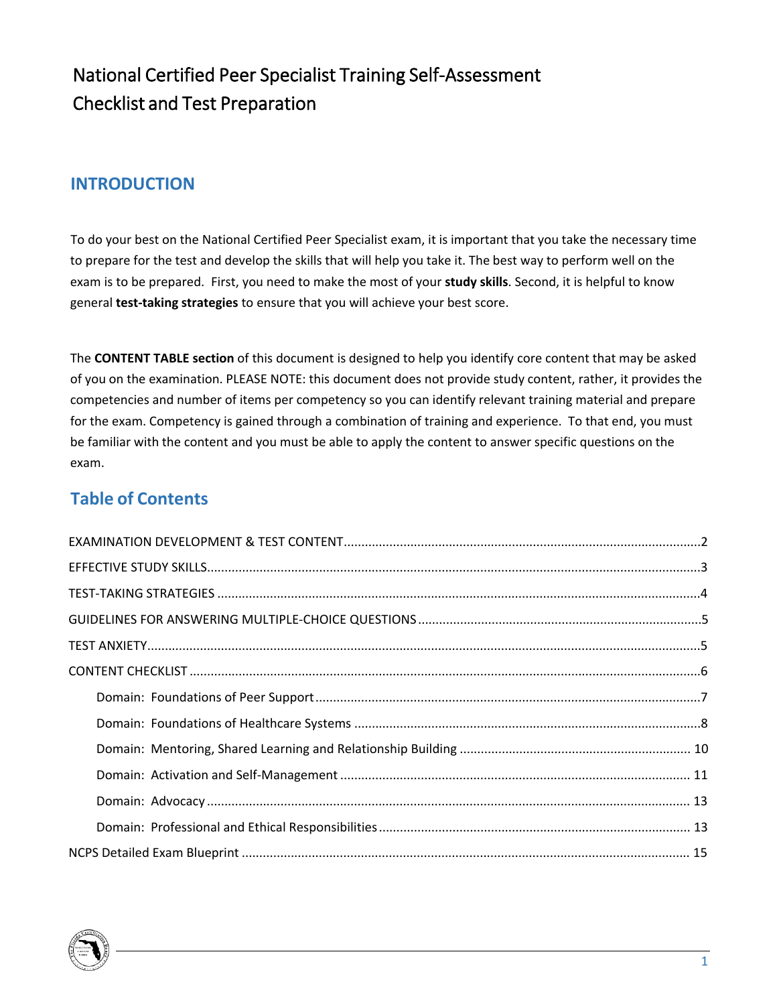# National Certified Peer Specialist Training Self-Assessment Checklist and Test Preparation

### **INTRODUCTION**

To do your best on the National Certified Peer Specialist exam, it is important that you take the necessary time to prepare for the test and develop the skills that will help you take it. The best way to perform well on the exam is to be prepared. First, you need to make the most of your **study skills**. Second, it is helpful to know general **test-taking strategies** to ensure that you will achieve your best score.

The **CONTENT TABLE section** of this document is designed to help you identify core content that may be asked of you on the examination. PLEASE NOTE: this document does not provide study content, rather, it provides the competencies and number of items per competency so you can identify relevant training material and prepare for the exam. Competency is gained through a combination of training and experience. To that end, you must be familiar with the content and you must be able to apply the content to answer specific questions on the exam.

### **Table of Contents**

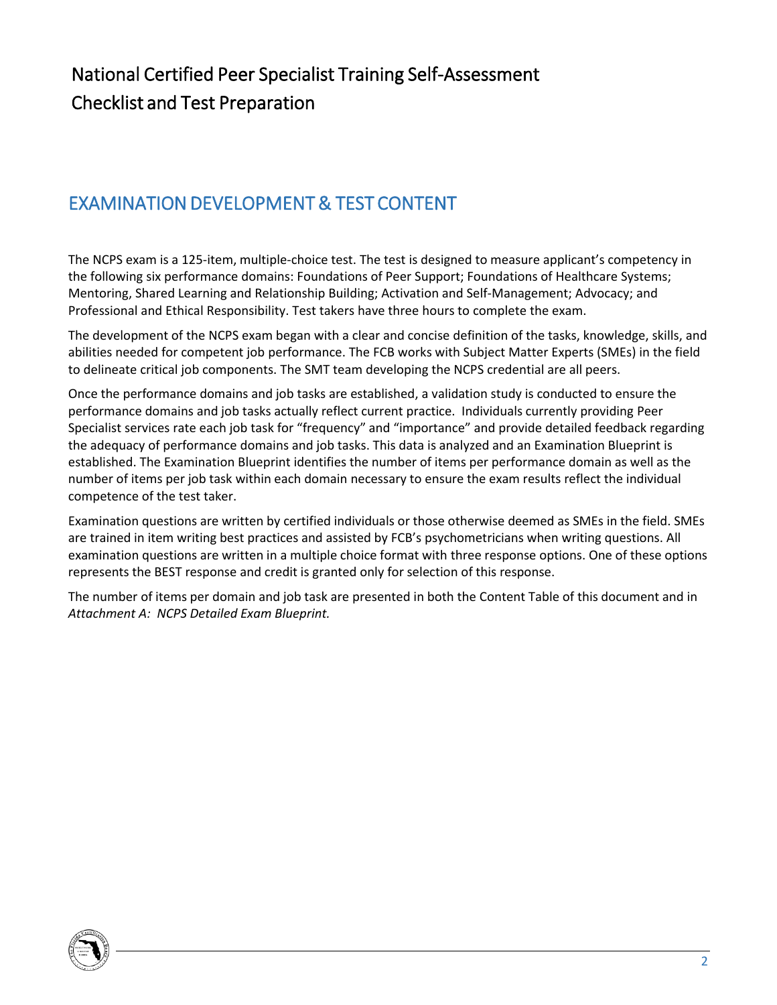# <span id="page-1-0"></span>EXAMINATION DEVELOPMENT & TEST CONTENT

The NCPS exam is a 125-item, multiple-choice test. The test is designed to measure applicant's competency in the following six performance domains: Foundations of Peer Support; Foundations of Healthcare Systems; Mentoring, Shared Learning and Relationship Building; Activation and Self-Management; Advocacy; and Professional and Ethical Responsibility. Test takers have three hours to complete the exam.

The development of the NCPS exam began with a clear and concise definition of the tasks, knowledge, skills, and abilities needed for competent job performance. The FCB works with Subject Matter Experts (SMEs) in the field to delineate critical job components. The SMT team developing the NCPS credential are all peers.

Once the performance domains and job tasks are established, a validation study is conducted to ensure the performance domains and job tasks actually reflect current practice. Individuals currently providing Peer Specialist services rate each job task for "frequency" and "importance" and provide detailed feedback regarding the adequacy of performance domains and job tasks. This data is analyzed and an Examination Blueprint is established. The Examination Blueprint identifies the number of items per performance domain as well as the number of items per job task within each domain necessary to ensure the exam results reflect the individual competence of the test taker.

Examination questions are written by certified individuals or those otherwise deemed as SMEs in the field. SMEs are trained in item writing best practices and assisted by FCB's psychometricians when writing questions. All examination questions are written in a multiple choice format with three response options. One of these options represents the BEST response and credit is granted only for selection of this response.

The number of items per domain and job task are presented in both the Content Table of this document and in *Attachment A: NCPS Detailed Exam Blueprint.*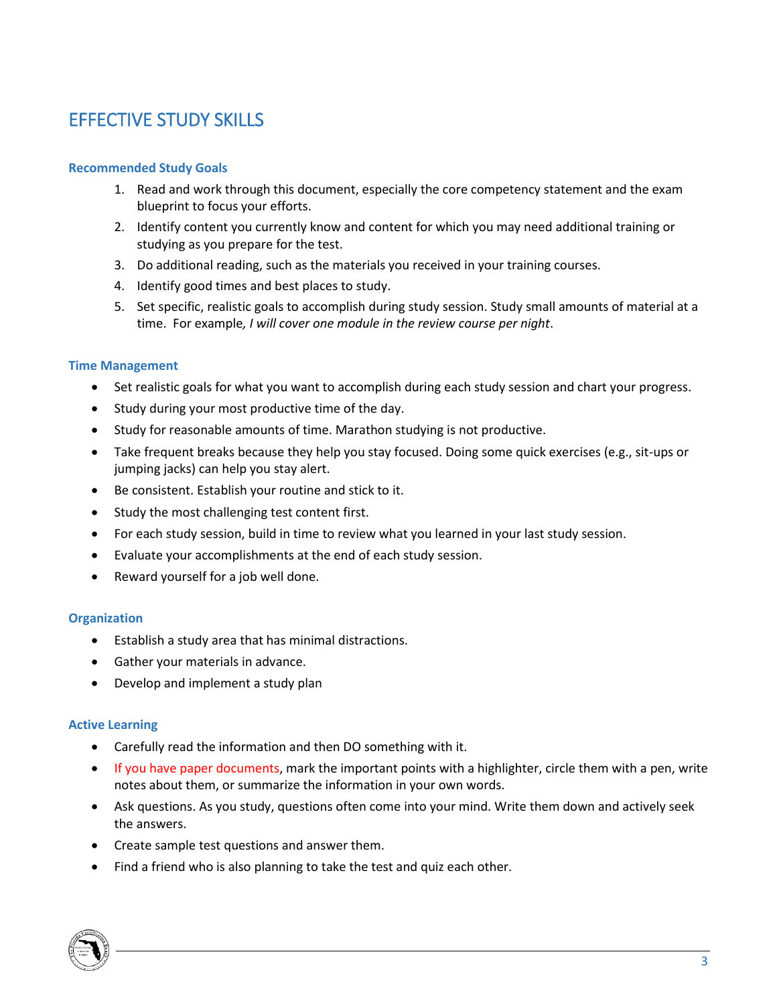# <span id="page-2-0"></span>EFFECTIVE STUDY SKILLS

#### **Recommended Study Goals**

- 1. Read and work through this document, especially the core competency statement and the exam blueprint to focus your efforts.
- 2. Identify content you currently know and content for which you may need additional training or studying as you prepare for the test.
- 3. Do additional reading, such as the materials you received in your training courses.
- 4. Identify good times and best places to study.
- 5. Set specific, realistic goals to accomplish during study session. Study small amounts of material at a time. For example*, I will cover one module in the review course per night*.

#### **Time Management**

- Set realistic goals for what you want to accomplish during each study session and chart your progress.
- Study during your most productive time of the day.
- Study for reasonable amounts of time. Marathon studying is not productive.
- Take frequent breaks because they help you stay focused. Doing some quick exercises (e.g., sit-ups or jumping jacks) can help you stay alert.
- Be consistent. Establish your routine and stick to it.
- Study the most challenging test content first.
- For each study session, build in time to review what you learned in your last study session.
- Evaluate your accomplishments at the end of each study session.
- Reward yourself for a job well done.

#### **Organization**

- Establish a study area that has minimal distractions.
- Gather your materials in advance.
- Develop and implement a study plan

#### **Active Learning**

- Carefully read the information and then DO something with it.
- If you have paper documents, mark the important points with a highlighter, circle them with a pen, write notes about them, or summarize the information in your own words.
- Ask questions. As you study, questions often come into your mind. Write them down and actively seek the answers.
- Create sample test questions and answer them.
- Find a friend who is also planning to take the test and quiz each other.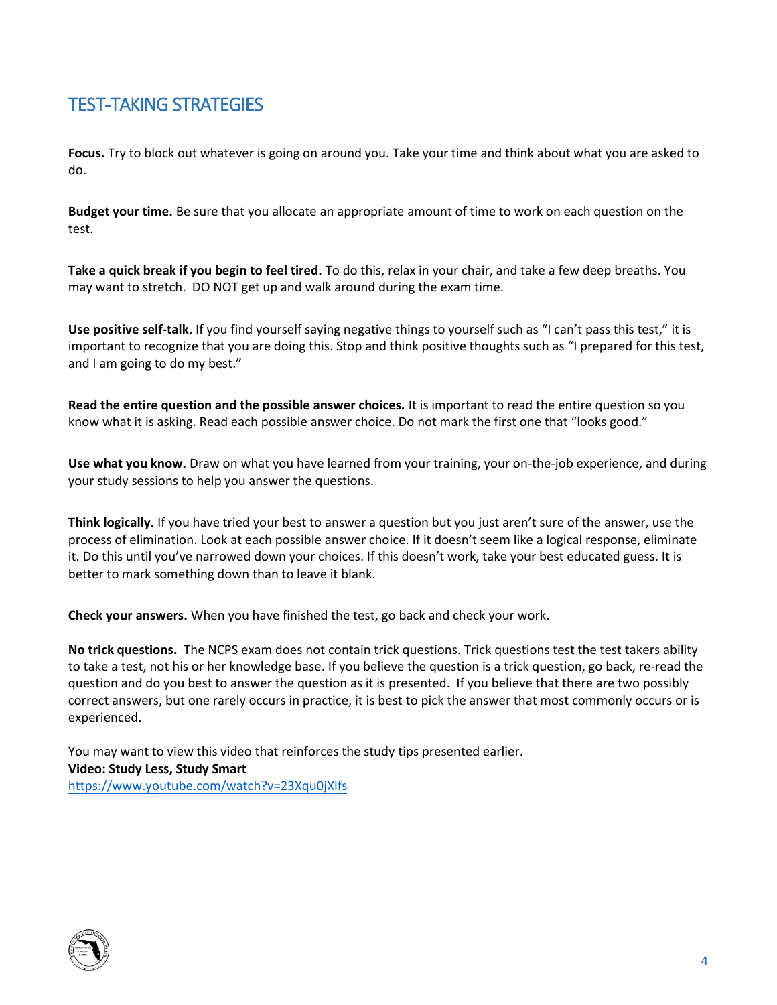### <span id="page-3-0"></span>TEST-TAKING STRATEGIES

**Focus.** Try to block out whatever is going on around you. Take your time and think about what you are asked to do.

**Budget your time.** Be sure that you allocate an appropriate amount of time to work on each question on the test.

**Take a quick break if you begin to feel tired.** To do this, relax in your chair, and take a few deep breaths. You may want to stretch. DO NOT get up and walk around during the exam time.

**Use positive self-talk.** If you find yourself saying negative things to yourself such as "I can't pass this test," it is important to recognize that you are doing this. Stop and think positive thoughts such as "I prepared for this test, and I am going to do my best."

**Read the entire question and the possible answer choices.** It is important to read the entire question so you know what it is asking. Read each possible answer choice. Do not mark the first one that "looks good."

**Use what you know.** Draw on what you have learned from your training, your on-the-job experience, and during your study sessions to help you answer the questions.

**Think logically.** If you have tried your best to answer a question but you just aren't sure of the answer, use the process of elimination. Look at each possible answer choice. If it doesn't seem like a logical response, eliminate it. Do this until you've narrowed down your choices. If this doesn't work, take your best educated guess. It is better to mark something down than to leave it blank.

**Check your answers.** When you have finished the test, go back and check your work.

**No trick questions.** The NCPS exam does not contain trick questions. Trick questions test the test takers ability to take a test, not his or her knowledge base. If you believe the question is a trick question, go back, re-read the question and do you best to answer the question as it is presented. If you believe that there are two possibly correct answers, but one rarely occurs in practice, it is best to pick the answer that most commonly occurs or is experienced.

You may want to view this video that reinforces the study tips presented earlier. **Video: Study Less, Study Smart**  <https://www.youtube.com/watch?v=23Xqu0jXlfs>

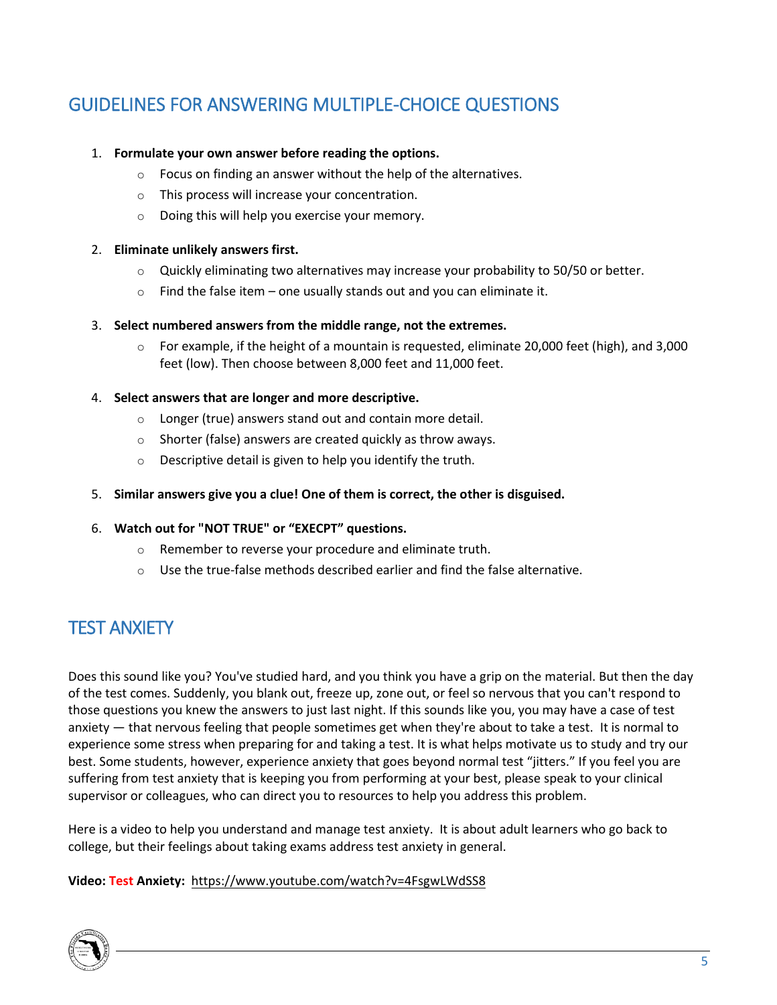# <span id="page-4-0"></span>GUIDELINES FOR ANSWERING MULTIPLE-CHOICE QUESTIONS

#### 1. **Formulate your own answer before reading the options.**

- o Focus on finding an answer without the help of the alternatives.
- o This process will increase your concentration.
- o Doing this will help you exercise your memory.

#### 2. **Eliminate unlikely answers first.**

- $\circ$  Quickly eliminating two alternatives may increase your probability to 50/50 or better.
- $\circ$  Find the false item one usually stands out and you can eliminate it.

#### 3. **Select numbered answers from the middle range, not the extremes.**

 $\circ$  For example, if the height of a mountain is requested, eliminate 20,000 feet (high), and 3,000 feet (low). Then choose between 8,000 feet and 11,000 feet.

#### 4. **Select answers that are longer and more descriptive.**

- o Longer (true) answers stand out and contain more detail.
- o Shorter (false) answers are created quickly as throw aways.
- o Descriptive detail is given to help you identify the truth.

#### 5. **Similar answers give you a clue! One of them is correct, the other is disguised.**

#### 6. **Watch out for "NOT TRUE" or "EXECPT" questions.**

- o Remember to reverse your procedure and eliminate truth.
- $\circ$  Use the true-false methods described earlier and find the false alternative.

## <span id="page-4-1"></span>TEST ANXIETY

Does this sound like you? You've studied hard, and you think you have a grip on the material. But then the day of the test comes. Suddenly, you blank out, freeze up, zone out, or feel so nervous that you can't respond to those questions you knew the answers to just last night. If this sounds like you, you may have a case of test anxiety — that nervous feeling that people sometimes get when they're about to take a test. It is normal to experience some stress when preparing for and taking a test. It is what helps motivate us to study and try our best. Some students, however, experience anxiety that goes beyond normal test "jitters." If you feel you are suffering from test anxiety that is keeping you from performing at your best, please speak to your clinical supervisor or colleagues, who can direct you to resources to help you address this problem.

Here is a video to help you understand and manage test anxiety. It is about adult learners who go back to college, but their feelings about taking exams address test anxiety in general.

#### **Video: Test Anxiety:** [https://www.youtube.com/watch?v=4FsgwLWdSS](https://www.youtube.com/watch?v=RlswtNgoQhc)[8](https://www.youtube.com/watch?v=4FsgwLWdSS8)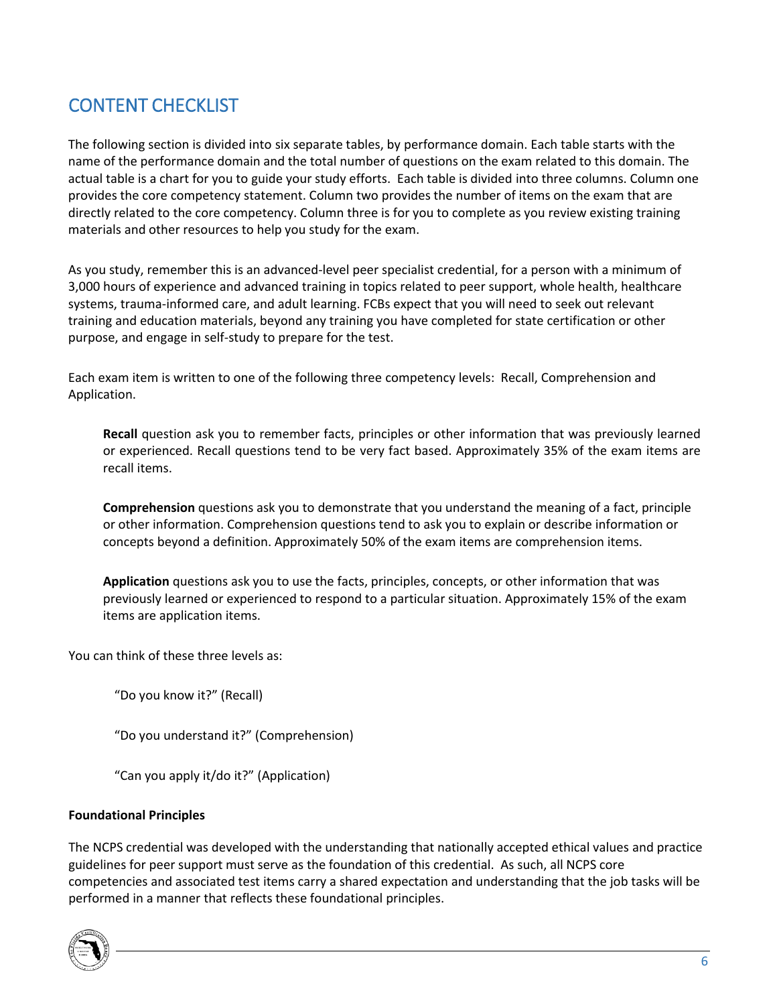## <span id="page-5-0"></span>CONTENT CHECKLIST

The following section is divided into six separate tables, by performance domain. Each table starts with the name of the performance domain and the total number of questions on the exam related to this domain. The actual table is a chart for you to guide your study efforts. Each table is divided into three columns. Column one provides the core competency statement. Column two provides the number of items on the exam that are directly related to the core competency. Column three is for you to complete as you review existing training materials and other resources to help you study for the exam.

As you study, remember this is an advanced-level peer specialist credential, for a person with a minimum of 3,000 hours of experience and advanced training in topics related to peer support, whole health, healthcare systems, trauma-informed care, and adult learning. FCBs expect that you will need to seek out relevant training and education materials, beyond any training you have completed for state certification or other purpose, and engage in self-study to prepare for the test.

Each exam item is written to one of the following three competency levels: Recall, Comprehension and Application.

**Recall** question ask you to remember facts, principles or other information that was previously learned or experienced. Recall questions tend to be very fact based. Approximately 35% of the exam items are recall items.

**Comprehension** questions ask you to demonstrate that you understand the meaning of a fact, principle or other information. Comprehension questions tend to ask you to explain or describe information or concepts beyond a definition. Approximately 50% of the exam items are comprehension items.

**Application** questions ask you to use the facts, principles, concepts, or other information that was previously learned or experienced to respond to a particular situation. Approximately 15% of the exam items are application items.

You can think of these three levels as:

"Do you know it?" (Recall)

"Do you understand it?" (Comprehension)

"Can you apply it/do it?" (Application)

#### **Foundational Principles**

The NCPS credential was developed with the understanding that nationally accepted ethical values and practice guidelines for peer support must serve as the foundation of this credential. As such, all NCPS core competencies and associated test items carry a shared expectation and understanding that the job tasks will be performed in a manner that reflects these foundational principles.

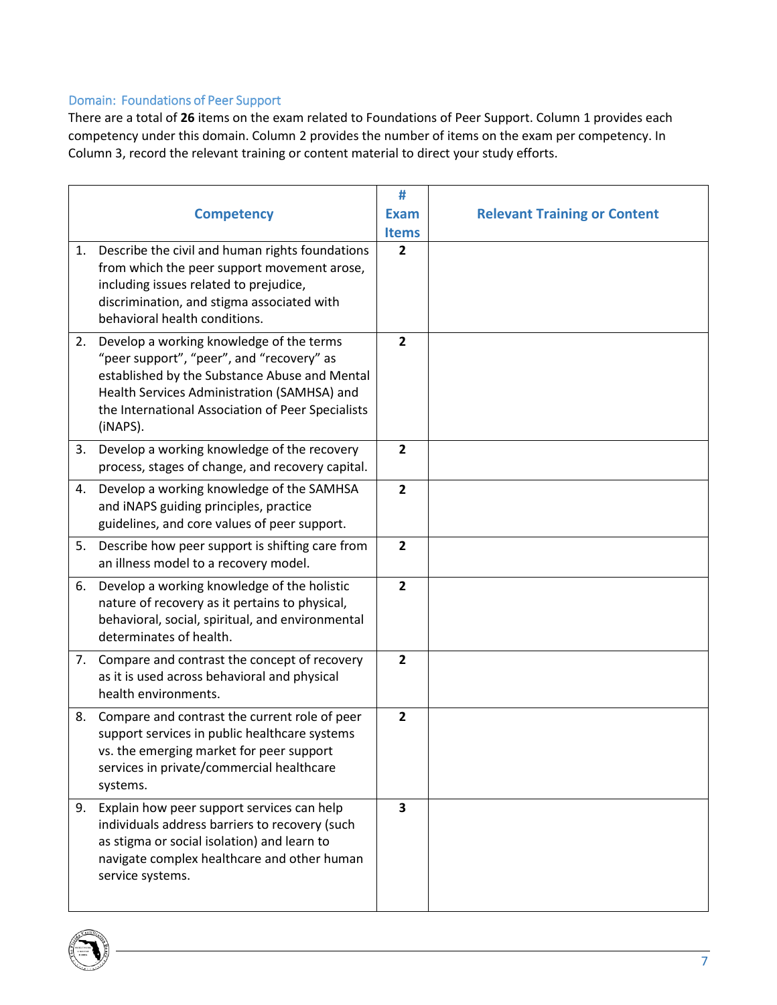### <span id="page-6-0"></span>Domain: Foundations of Peer Support

There are a total of **26** items on the exam related to Foundations of Peer Support. Column 1 provides each competency under this domain. Column 2 provides the number of items on the exam per competency. In Column 3, record the relevant training or content material to direct your study efforts.

|    | <b>Competency</b>                                                                                                                                                                                                                                      | #<br><b>Exam</b><br><b>Items</b> | <b>Relevant Training or Content</b> |
|----|--------------------------------------------------------------------------------------------------------------------------------------------------------------------------------------------------------------------------------------------------------|----------------------------------|-------------------------------------|
| 1. | Describe the civil and human rights foundations<br>from which the peer support movement arose,<br>including issues related to prejudice,<br>discrimination, and stigma associated with<br>behavioral health conditions.                                | $\overline{2}$                   |                                     |
| 2. | Develop a working knowledge of the terms<br>"peer support", "peer", and "recovery" as<br>established by the Substance Abuse and Mental<br>Health Services Administration (SAMHSA) and<br>the International Association of Peer Specialists<br>(iNAPS). | $\overline{2}$                   |                                     |
| 3. | Develop a working knowledge of the recovery<br>process, stages of change, and recovery capital.                                                                                                                                                        | $\overline{2}$                   |                                     |
| 4. | Develop a working knowledge of the SAMHSA<br>and INAPS guiding principles, practice<br>guidelines, and core values of peer support.                                                                                                                    | $\overline{2}$                   |                                     |
| 5. | Describe how peer support is shifting care from<br>an illness model to a recovery model.                                                                                                                                                               | $\overline{\mathbf{2}}$          |                                     |
| 6. | Develop a working knowledge of the holistic<br>nature of recovery as it pertains to physical,<br>behavioral, social, spiritual, and environmental<br>determinates of health.                                                                           | $\overline{2}$                   |                                     |
|    | 7. Compare and contrast the concept of recovery<br>as it is used across behavioral and physical<br>health environments.                                                                                                                                | $\overline{2}$                   |                                     |
|    | 8. Compare and contrast the current role of peer<br>support services in public healthcare systems<br>vs. the emerging market for peer support<br>services in private/commercial healthcare<br>systems.                                                 | $\overline{2}$                   |                                     |
| 9. | Explain how peer support services can help<br>individuals address barriers to recovery (such<br>as stigma or social isolation) and learn to<br>navigate complex healthcare and other human<br>service systems.                                         | 3                                |                                     |

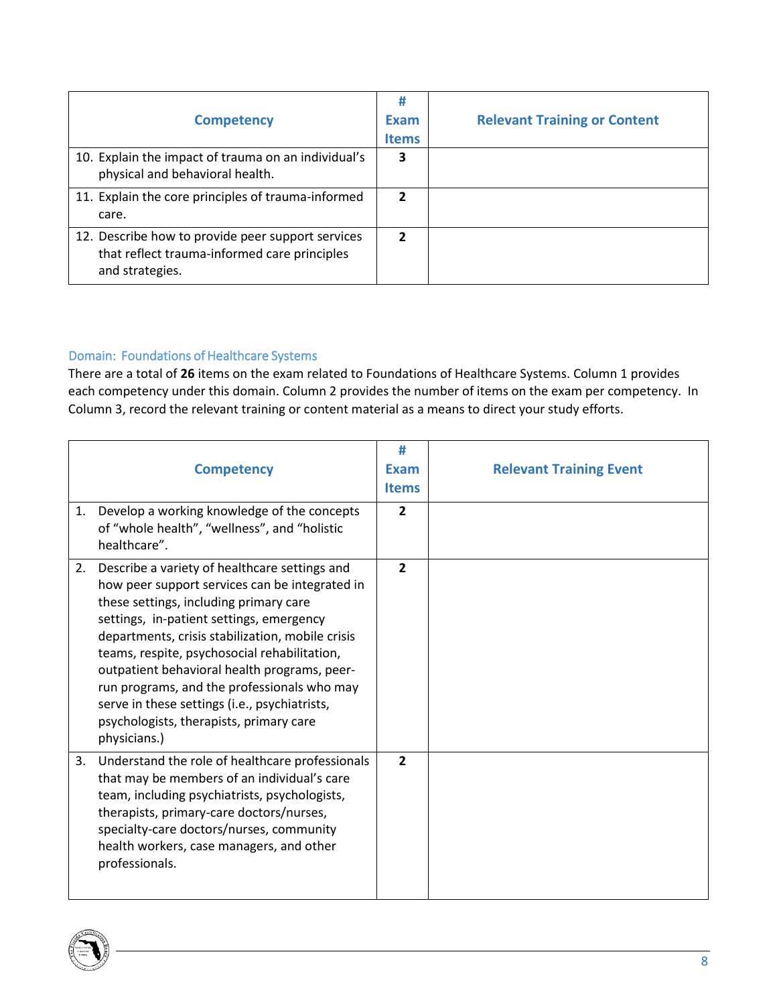| <b>Competency</b>                                                                                                    | Exam<br><b>Items</b> | <b>Relevant Training or Content</b> |
|----------------------------------------------------------------------------------------------------------------------|----------------------|-------------------------------------|
| 10. Explain the impact of trauma on an individual's<br>physical and behavioral health.                               | 3                    |                                     |
| 11. Explain the core principles of trauma-informed<br>care.                                                          | 2                    |                                     |
| 12. Describe how to provide peer support services<br>that reflect trauma-informed care principles<br>and strategies. | 2                    |                                     |

### <span id="page-7-0"></span>Domain: Foundations of Healthcare Systems

There are a total of **26** items on the exam related to Foundations of Healthcare Systems. Column 1 provides each competency under this domain. Column 2 provides the number of items on the exam per competency. In Column 3, record the relevant training or content material as a means to direct your study efforts.

| 1. | <b>Competency</b><br>Develop a working knowledge of the concepts<br>of "whole health", "wellness", and "holistic<br>healthcare".                                                                                                                                                                                                                                                                                                                                                                     | #<br><b>Exam</b><br><b>Items</b><br>$\overline{2}$ | <b>Relevant Training Event</b> |
|----|------------------------------------------------------------------------------------------------------------------------------------------------------------------------------------------------------------------------------------------------------------------------------------------------------------------------------------------------------------------------------------------------------------------------------------------------------------------------------------------------------|----------------------------------------------------|--------------------------------|
| 2. | Describe a variety of healthcare settings and<br>how peer support services can be integrated in<br>these settings, including primary care<br>settings, in-patient settings, emergency<br>departments, crisis stabilization, mobile crisis<br>teams, respite, psychosocial rehabilitation,<br>outpatient behavioral health programs, peer-<br>run programs, and the professionals who may<br>serve in these settings (i.e., psychiatrists,<br>psychologists, therapists, primary care<br>physicians.) | $\overline{2}$                                     |                                |
| 3. | Understand the role of healthcare professionals<br>that may be members of an individual's care<br>team, including psychiatrists, psychologists,<br>therapists, primary-care doctors/nurses,<br>specialty-care doctors/nurses, community<br>health workers, case managers, and other<br>professionals.                                                                                                                                                                                                | $\overline{2}$                                     |                                |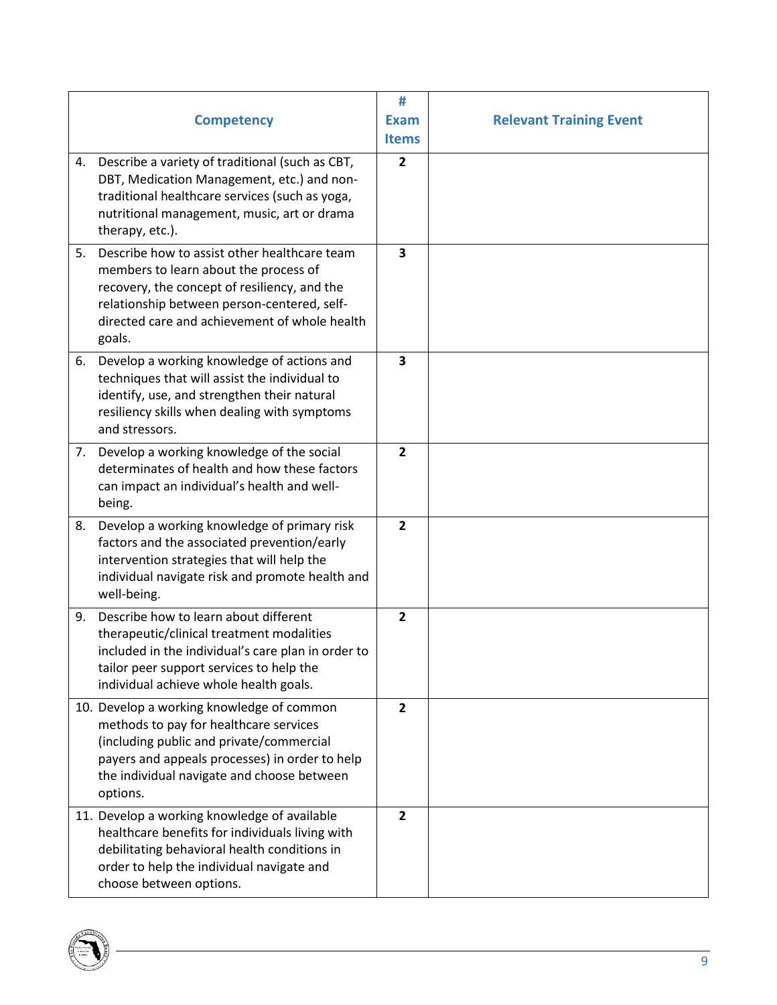|    | <b>Competency</b>                                                                                                                                                                                                                               | #<br><b>Exam</b><br><b>Items</b> | <b>Relevant Training Event</b> |
|----|-------------------------------------------------------------------------------------------------------------------------------------------------------------------------------------------------------------------------------------------------|----------------------------------|--------------------------------|
| 4. | Describe a variety of traditional (such as CBT,<br>DBT, Medication Management, etc.) and non-<br>traditional healthcare services (such as yoga,<br>nutritional management, music, art or drama<br>therapy, etc.).                               | $\overline{2}$                   |                                |
| 5. | Describe how to assist other healthcare team<br>members to learn about the process of<br>recovery, the concept of resiliency, and the<br>relationship between person-centered, self-<br>directed care and achievement of whole health<br>goals. | 3                                |                                |
| 6. | Develop a working knowledge of actions and<br>techniques that will assist the individual to<br>identify, use, and strengthen their natural<br>resiliency skills when dealing with symptoms<br>and stressors.                                    | $\overline{\mathbf{3}}$          |                                |
|    | 7. Develop a working knowledge of the social<br>determinates of health and how these factors<br>can impact an individual's health and well-<br>being.                                                                                           | $\overline{2}$                   |                                |
| 8. | Develop a working knowledge of primary risk<br>factors and the associated prevention/early<br>intervention strategies that will help the<br>individual navigate risk and promote health and<br>well-being.                                      | $\overline{2}$                   |                                |
| 9. | Describe how to learn about different<br>therapeutic/clinical treatment modalities<br>included in the individual's care plan in order to<br>tailor peer support services to help the<br>individual achieve whole health goals.                  | $\overline{2}$                   |                                |
|    | 10. Develop a working knowledge of common<br>methods to pay for healthcare services<br>(including public and private/commercial<br>payers and appeals processes) in order to help<br>the individual navigate and choose between<br>options.     | $\overline{2}$                   |                                |
|    | 11. Develop a working knowledge of available<br>healthcare benefits for individuals living with<br>debilitating behavioral health conditions in<br>order to help the individual navigate and<br>choose between options.                         | $\overline{2}$                   |                                |

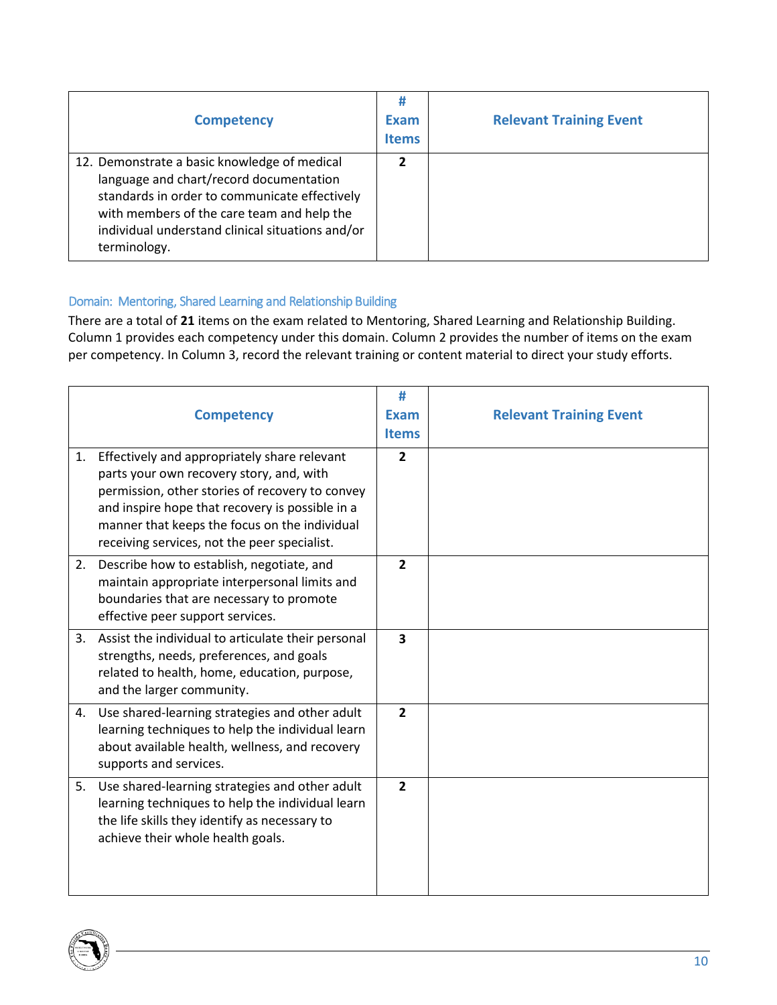| <b>Competency</b>                                                                                                                                                                                                                                          | #<br>Exam<br><b>Items</b> | <b>Relevant Training Event</b> |
|------------------------------------------------------------------------------------------------------------------------------------------------------------------------------------------------------------------------------------------------------------|---------------------------|--------------------------------|
| 12. Demonstrate a basic knowledge of medical<br>language and chart/record documentation<br>standards in order to communicate effectively<br>with members of the care team and help the<br>individual understand clinical situations and/or<br>terminology. | 7                         |                                |

### <span id="page-9-0"></span>Domain: Mentoring, Shared Learning and Relationship Building

There are a total of **21** items on the exam related to Mentoring, Shared Learning and Relationship Building. Column 1 provides each competency under this domain. Column 2 provides the number of items on the exam per competency. In Column 3, record the relevant training or content material to direct your study efforts.

|    | <b>Competency</b>                                                                                                                                                                                                                                                                               | #<br><b>Exam</b><br><b>Items</b> | <b>Relevant Training Event</b> |
|----|-------------------------------------------------------------------------------------------------------------------------------------------------------------------------------------------------------------------------------------------------------------------------------------------------|----------------------------------|--------------------------------|
| 1. | Effectively and appropriately share relevant<br>parts your own recovery story, and, with<br>permission, other stories of recovery to convey<br>and inspire hope that recovery is possible in a<br>manner that keeps the focus on the individual<br>receiving services, not the peer specialist. | $\overline{2}$                   |                                |
| 2. | Describe how to establish, negotiate, and<br>maintain appropriate interpersonal limits and<br>boundaries that are necessary to promote<br>effective peer support services.                                                                                                                      | $\overline{2}$                   |                                |
| 3. | Assist the individual to articulate their personal<br>strengths, needs, preferences, and goals<br>related to health, home, education, purpose,<br>and the larger community.                                                                                                                     | 3                                |                                |
|    | 4. Use shared-learning strategies and other adult<br>learning techniques to help the individual learn<br>about available health, wellness, and recovery<br>supports and services.                                                                                                               | $\overline{2}$                   |                                |
| 5. | Use shared-learning strategies and other adult<br>learning techniques to help the individual learn<br>the life skills they identify as necessary to<br>achieve their whole health goals.                                                                                                        | $\overline{2}$                   |                                |

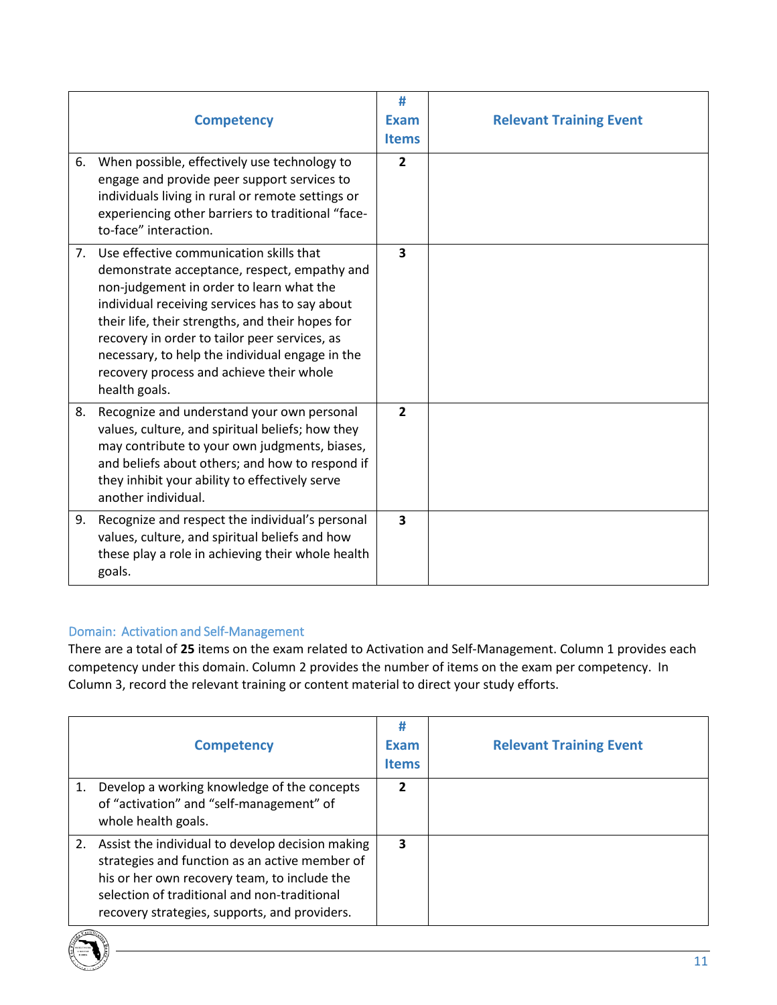|    | <b>Competency</b>                                                                                                                                                                                                                                                                                                                                                                                             | #<br><b>Exam</b><br><b>Items</b> | <b>Relevant Training Event</b> |
|----|---------------------------------------------------------------------------------------------------------------------------------------------------------------------------------------------------------------------------------------------------------------------------------------------------------------------------------------------------------------------------------------------------------------|----------------------------------|--------------------------------|
| 6. | When possible, effectively use technology to<br>engage and provide peer support services to<br>individuals living in rural or remote settings or<br>experiencing other barriers to traditional "face-<br>to-face" interaction.                                                                                                                                                                                | $\overline{2}$                   |                                |
|    | 7. Use effective communication skills that<br>demonstrate acceptance, respect, empathy and<br>non-judgement in order to learn what the<br>individual receiving services has to say about<br>their life, their strengths, and their hopes for<br>recovery in order to tailor peer services, as<br>necessary, to help the individual engage in the<br>recovery process and achieve their whole<br>health goals. | 3                                |                                |
| 8. | Recognize and understand your own personal<br>values, culture, and spiritual beliefs; how they<br>may contribute to your own judgments, biases,<br>and beliefs about others; and how to respond if<br>they inhibit your ability to effectively serve<br>another individual.                                                                                                                                   | $\overline{2}$                   |                                |
| 9. | Recognize and respect the individual's personal<br>values, culture, and spiritual beliefs and how<br>these play a role in achieving their whole health<br>goals.                                                                                                                                                                                                                                              | 3                                |                                |

### <span id="page-10-0"></span>Domain: Activation and Self-Management

There are a total of **25** items on the exam related to Activation and Self-Management. Column 1 provides each competency under this domain. Column 2 provides the number of items on the exam per competency. In Column 3, record the relevant training or content material to direct your study efforts.

|    | <b>Competency</b>                                                                                                                                                                                                                                   | #<br>Exam<br><b>Items</b> | <b>Relevant Training Event</b> |
|----|-----------------------------------------------------------------------------------------------------------------------------------------------------------------------------------------------------------------------------------------------------|---------------------------|--------------------------------|
| 1. | Develop a working knowledge of the concepts<br>of "activation" and "self-management" of<br>whole health goals.                                                                                                                                      | 2                         |                                |
| 2. | Assist the individual to develop decision making<br>strategies and function as an active member of<br>his or her own recovery team, to include the<br>selection of traditional and non-traditional<br>recovery strategies, supports, and providers. | 3                         |                                |

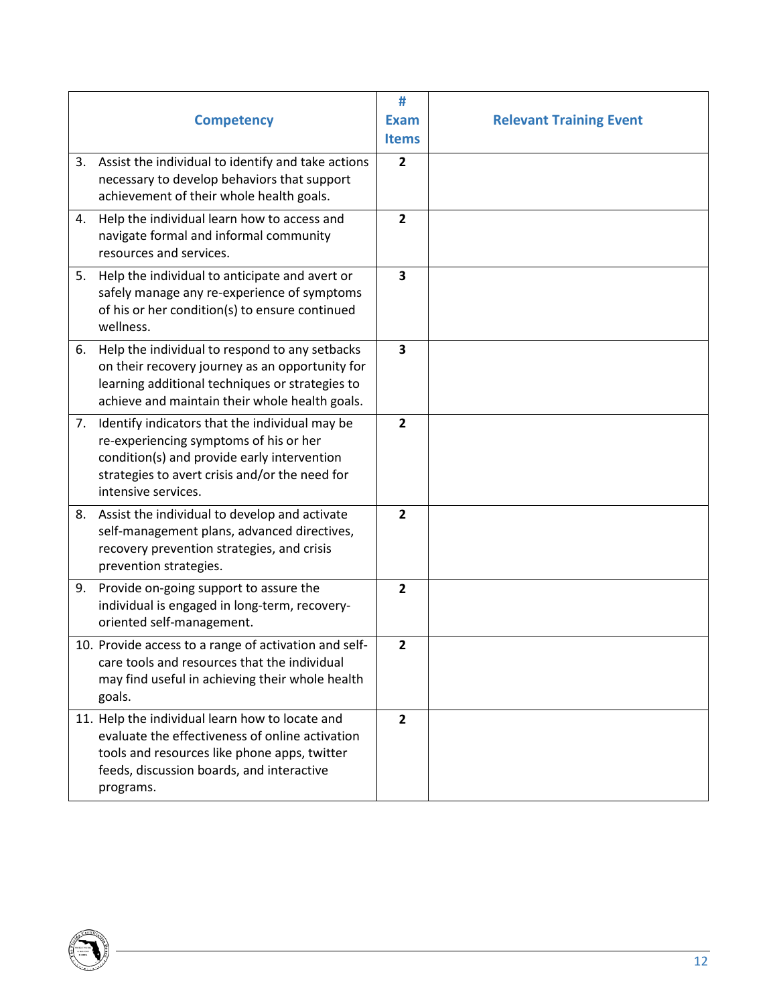|    |                                                                                                    | #              |                                |
|----|----------------------------------------------------------------------------------------------------|----------------|--------------------------------|
|    | <b>Competency</b>                                                                                  | <b>Exam</b>    | <b>Relevant Training Event</b> |
|    |                                                                                                    | <b>Items</b>   |                                |
| 3. | Assist the individual to identify and take actions                                                 | $\overline{2}$ |                                |
|    | necessary to develop behaviors that support                                                        |                |                                |
|    | achievement of their whole health goals.                                                           |                |                                |
| 4. | Help the individual learn how to access and<br>navigate formal and informal community              | $\overline{2}$ |                                |
|    | resources and services.                                                                            |                |                                |
| 5. | Help the individual to anticipate and avert or                                                     | 3              |                                |
|    | safely manage any re-experience of symptoms                                                        |                |                                |
|    | of his or her condition(s) to ensure continued                                                     |                |                                |
|    | wellness.                                                                                          |                |                                |
| 6. | Help the individual to respond to any setbacks                                                     | 3              |                                |
|    | on their recovery journey as an opportunity for<br>learning additional techniques or strategies to |                |                                |
|    | achieve and maintain their whole health goals.                                                     |                |                                |
| 7. | Identify indicators that the individual may be                                                     | $\overline{2}$ |                                |
|    | re-experiencing symptoms of his or her                                                             |                |                                |
|    | condition(s) and provide early intervention                                                        |                |                                |
|    | strategies to avert crisis and/or the need for<br>intensive services.                              |                |                                |
|    |                                                                                                    |                |                                |
|    | 8. Assist the individual to develop and activate<br>self-management plans, advanced directives,    | $\overline{2}$ |                                |
|    | recovery prevention strategies, and crisis                                                         |                |                                |
|    | prevention strategies.                                                                             |                |                                |
| 9. | Provide on-going support to assure the                                                             | $\overline{2}$ |                                |
|    | individual is engaged in long-term, recovery-                                                      |                |                                |
|    | oriented self-management.                                                                          |                |                                |
|    | 10. Provide access to a range of activation and self-                                              | $\overline{2}$ |                                |
|    | care tools and resources that the individual<br>may find useful in achieving their whole health    |                |                                |
|    | goals.                                                                                             |                |                                |
|    | 11. Help the individual learn how to locate and                                                    | $\overline{2}$ |                                |
|    | evaluate the effectiveness of online activation                                                    |                |                                |
|    | tools and resources like phone apps, twitter                                                       |                |                                |
|    | feeds, discussion boards, and interactive                                                          |                |                                |
|    | programs.                                                                                          |                |                                |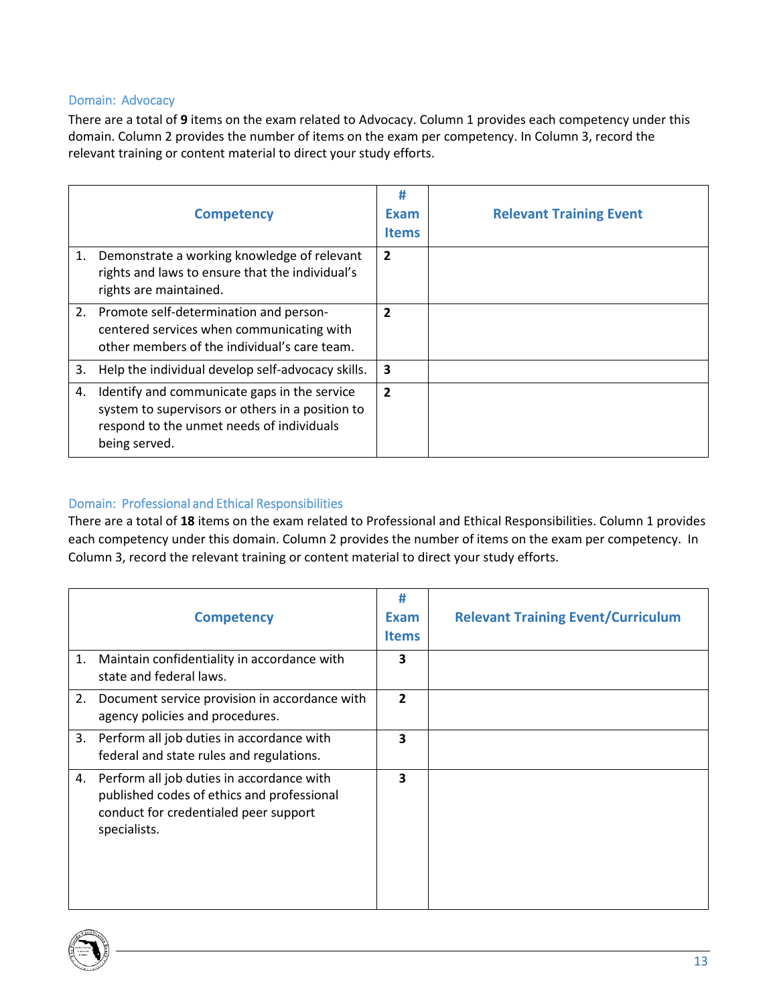#### <span id="page-12-0"></span>Domain: Advocacy

There are a total of **9** items on the exam related to Advocacy. Column 1 provides each competency under this domain. Column 2 provides the number of items on the exam per competency. In Column 3, record the relevant training or content material to direct your study efforts.

|    | <b>Competency</b>                                                                                                                                              | #<br>Exam<br><b>Items</b> | <b>Relevant Training Event</b> |
|----|----------------------------------------------------------------------------------------------------------------------------------------------------------------|---------------------------|--------------------------------|
| 1. | Demonstrate a working knowledge of relevant<br>rights and laws to ensure that the individual's<br>rights are maintained.                                       | $\overline{2}$            |                                |
| 2. | Promote self-determination and person-<br>centered services when communicating with<br>other members of the individual's care team.                            | 2                         |                                |
| 3. | Help the individual develop self-advocacy skills.                                                                                                              | 3                         |                                |
| 4. | Identify and communicate gaps in the service<br>system to supervisors or others in a position to<br>respond to the unmet needs of individuals<br>being served. | $\overline{2}$            |                                |

### <span id="page-12-1"></span>Domain: Professional and Ethical Responsibilities

There are a total of **18** items on the exam related to Professional and Ethical Responsibilities. Column 1 provides each competency under this domain. Column 2 provides the number of items on the exam per competency. In Column 3, record the relevant training or content material to direct your study efforts.

|    | <b>Competency</b>                                                                                                                                   | #<br>Exam<br><b>Items</b> | <b>Relevant Training Event/Curriculum</b> |
|----|-----------------------------------------------------------------------------------------------------------------------------------------------------|---------------------------|-------------------------------------------|
| 1. | Maintain confidentiality in accordance with<br>state and federal laws.                                                                              | 3                         |                                           |
| 2. | Document service provision in accordance with<br>agency policies and procedures.                                                                    | $\overline{2}$            |                                           |
| 3. | Perform all job duties in accordance with<br>federal and state rules and regulations.                                                               | 3                         |                                           |
|    | 4. Perform all job duties in accordance with<br>published codes of ethics and professional<br>conduct for credentialed peer support<br>specialists. | 3                         |                                           |

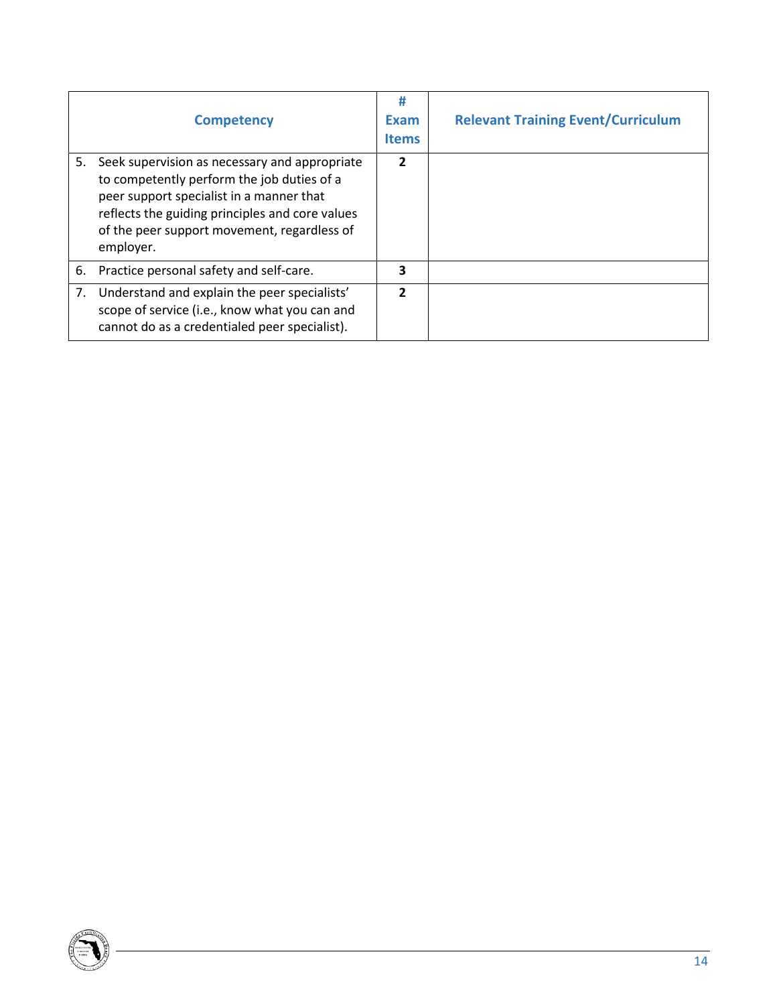|    | <b>Competency</b>                                                                                                                                                                                                                                      | #<br><b>Exam</b><br><b>Items</b> | <b>Relevant Training Event/Curriculum</b> |
|----|--------------------------------------------------------------------------------------------------------------------------------------------------------------------------------------------------------------------------------------------------------|----------------------------------|-------------------------------------------|
| 5. | Seek supervision as necessary and appropriate<br>to competently perform the job duties of a<br>peer support specialist in a manner that<br>reflects the guiding principles and core values<br>of the peer support movement, regardless of<br>employer. | $\mathbf{z}$                     |                                           |
| 6. | Practice personal safety and self-care.                                                                                                                                                                                                                | 3                                |                                           |
| 7. | Understand and explain the peer specialists'<br>scope of service (i.e., know what you can and<br>cannot do as a credentialed peer specialist).                                                                                                         | $\mathfrak z$                    |                                           |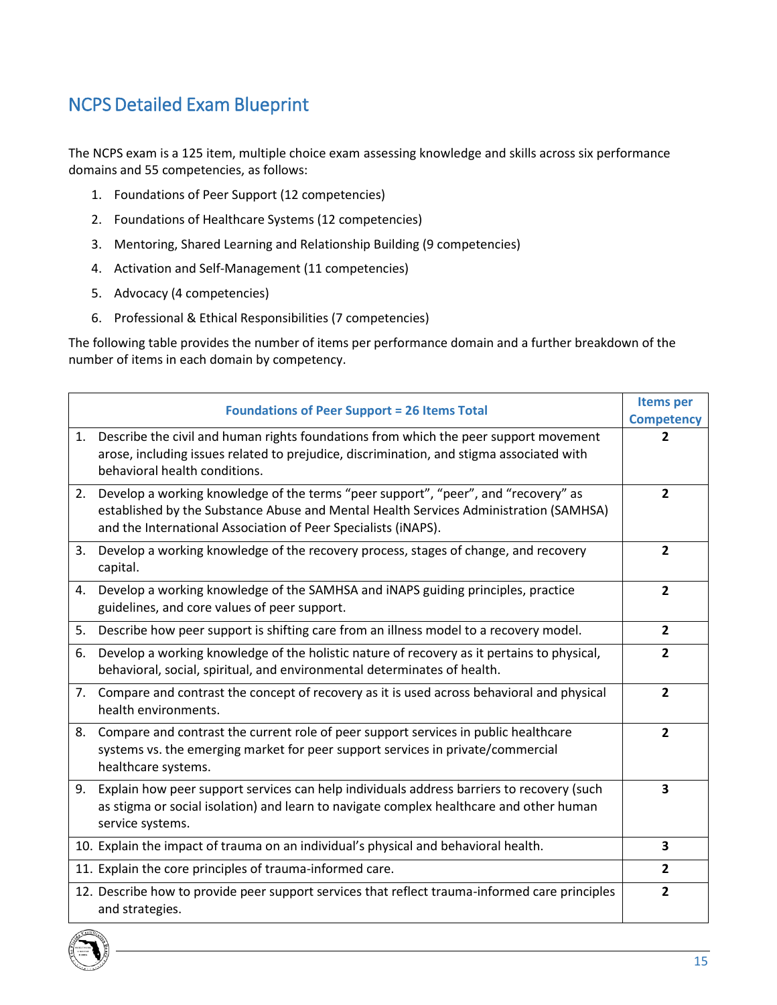# <span id="page-14-0"></span>NCPS Detailed Exam Blueprint

The NCPS exam is a 125 item, multiple choice exam assessing knowledge and skills across six performance domains and 55 competencies, as follows:

- 1. Foundations of Peer Support (12 competencies)
- 2. Foundations of Healthcare Systems (12 competencies)
- 3. Mentoring, Shared Learning and Relationship Building (9 competencies)
- 4. Activation and Self-Management (11 competencies)
- 5. Advocacy (4 competencies)
- 6. Professional & Ethical Responsibilities (7 competencies)

The following table provides the number of items per performance domain and a further breakdown of the number of items in each domain by competency.

|    | <b>Foundations of Peer Support = 26 Items Total</b>                                                                                                                                                                                           | <b>Items</b> per<br><b>Competency</b> |
|----|-----------------------------------------------------------------------------------------------------------------------------------------------------------------------------------------------------------------------------------------------|---------------------------------------|
| 1. | Describe the civil and human rights foundations from which the peer support movement<br>arose, including issues related to prejudice, discrimination, and stigma associated with<br>behavioral health conditions.                             | $\mathbf{2}$                          |
| 2. | Develop a working knowledge of the terms "peer support", "peer", and "recovery" as<br>established by the Substance Abuse and Mental Health Services Administration (SAMHSA)<br>and the International Association of Peer Specialists (iNAPS). | $\overline{2}$                        |
| 3. | Develop a working knowledge of the recovery process, stages of change, and recovery<br>capital.                                                                                                                                               | $\overline{2}$                        |
| 4. | Develop a working knowledge of the SAMHSA and iNAPS guiding principles, practice<br>guidelines, and core values of peer support.                                                                                                              | $\overline{2}$                        |
| 5. | Describe how peer support is shifting care from an illness model to a recovery model.                                                                                                                                                         | $\mathbf{2}$                          |
| 6. | Develop a working knowledge of the holistic nature of recovery as it pertains to physical,<br>behavioral, social, spiritual, and environmental determinates of health.                                                                        | $\overline{2}$                        |
| 7. | Compare and contrast the concept of recovery as it is used across behavioral and physical<br>health environments.                                                                                                                             | $\overline{2}$                        |
|    | 8. Compare and contrast the current role of peer support services in public healthcare<br>systems vs. the emerging market for peer support services in private/commercial<br>healthcare systems.                                              | $\overline{2}$                        |
|    | 9. Explain how peer support services can help individuals address barriers to recovery (such<br>as stigma or social isolation) and learn to navigate complex healthcare and other human<br>service systems.                                   | $\overline{\mathbf{3}}$               |
|    | 10. Explain the impact of trauma on an individual's physical and behavioral health.                                                                                                                                                           | 3                                     |
|    | 11. Explain the core principles of trauma-informed care.                                                                                                                                                                                      | $\overline{2}$                        |
|    | 12. Describe how to provide peer support services that reflect trauma-informed care principles<br>and strategies.                                                                                                                             | $\overline{2}$                        |

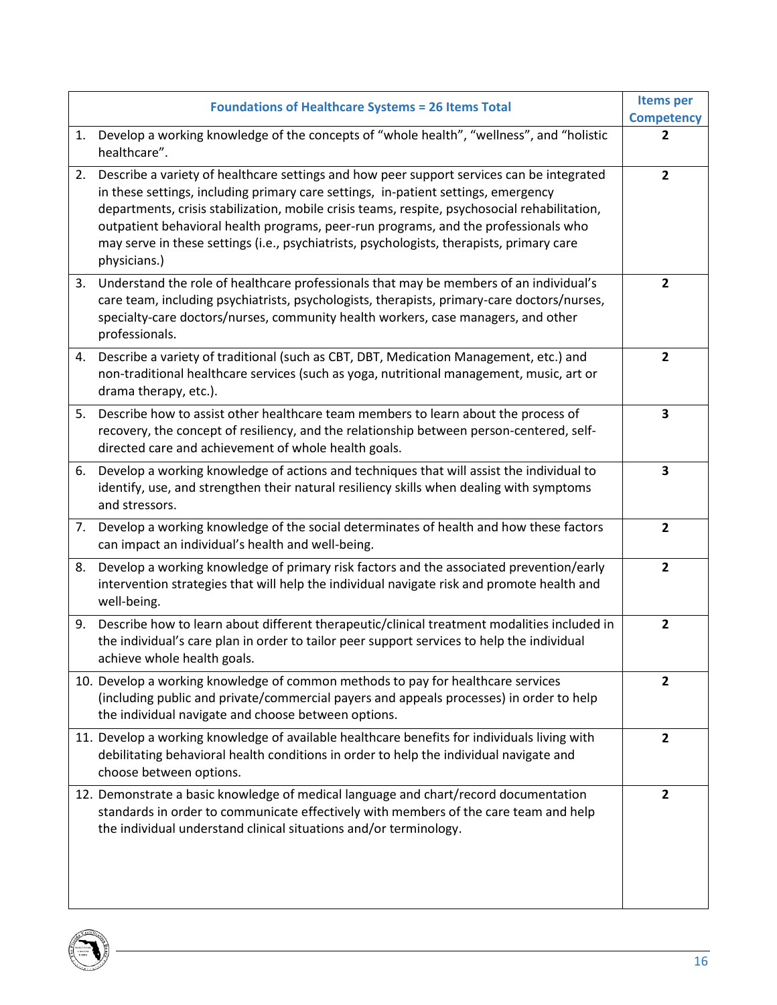|    | <b>Foundations of Healthcare Systems = 26 Items Total</b>                                                                                                                                                                                                                                                                                                                                                                                                                            | <b>Items per</b>  |
|----|--------------------------------------------------------------------------------------------------------------------------------------------------------------------------------------------------------------------------------------------------------------------------------------------------------------------------------------------------------------------------------------------------------------------------------------------------------------------------------------|-------------------|
|    |                                                                                                                                                                                                                                                                                                                                                                                                                                                                                      | <b>Competency</b> |
| 1. | Develop a working knowledge of the concepts of "whole health", "wellness", and "holistic<br>healthcare".                                                                                                                                                                                                                                                                                                                                                                             | $\mathbf{2}$      |
| 2. | Describe a variety of healthcare settings and how peer support services can be integrated<br>in these settings, including primary care settings, in-patient settings, emergency<br>departments, crisis stabilization, mobile crisis teams, respite, psychosocial rehabilitation,<br>outpatient behavioral health programs, peer-run programs, and the professionals who<br>may serve in these settings (i.e., psychiatrists, psychologists, therapists, primary care<br>physicians.) | $\overline{2}$    |
| 3. | Understand the role of healthcare professionals that may be members of an individual's<br>care team, including psychiatrists, psychologists, therapists, primary-care doctors/nurses,<br>specialty-care doctors/nurses, community health workers, case managers, and other<br>professionals.                                                                                                                                                                                         | $\mathbf{2}$      |
| 4. | Describe a variety of traditional (such as CBT, DBT, Medication Management, etc.) and<br>non-traditional healthcare services (such as yoga, nutritional management, music, art or<br>drama therapy, etc.).                                                                                                                                                                                                                                                                           | $\overline{2}$    |
| 5. | Describe how to assist other healthcare team members to learn about the process of<br>recovery, the concept of resiliency, and the relationship between person-centered, self-<br>directed care and achievement of whole health goals.                                                                                                                                                                                                                                               | 3                 |
| 6. | Develop a working knowledge of actions and techniques that will assist the individual to<br>identify, use, and strengthen their natural resiliency skills when dealing with symptoms<br>and stressors.                                                                                                                                                                                                                                                                               | 3                 |
| 7. | Develop a working knowledge of the social determinates of health and how these factors<br>can impact an individual's health and well-being.                                                                                                                                                                                                                                                                                                                                          | $\overline{2}$    |
| 8. | Develop a working knowledge of primary risk factors and the associated prevention/early<br>intervention strategies that will help the individual navigate risk and promote health and<br>well-being.                                                                                                                                                                                                                                                                                 | $\overline{2}$    |
| 9. | Describe how to learn about different therapeutic/clinical treatment modalities included in<br>the individual's care plan in order to tailor peer support services to help the individual<br>achieve whole health goals.                                                                                                                                                                                                                                                             | $\overline{2}$    |
|    | 10. Develop a working knowledge of common methods to pay for healthcare services<br>(including public and private/commercial payers and appeals processes) in order to help<br>the individual navigate and choose between options.                                                                                                                                                                                                                                                   | $\overline{2}$    |
|    | 11. Develop a working knowledge of available healthcare benefits for individuals living with<br>debilitating behavioral health conditions in order to help the individual navigate and<br>choose between options.                                                                                                                                                                                                                                                                    | $\overline{2}$    |
|    | 12. Demonstrate a basic knowledge of medical language and chart/record documentation<br>standards in order to communicate effectively with members of the care team and help<br>the individual understand clinical situations and/or terminology.                                                                                                                                                                                                                                    | $\overline{2}$    |

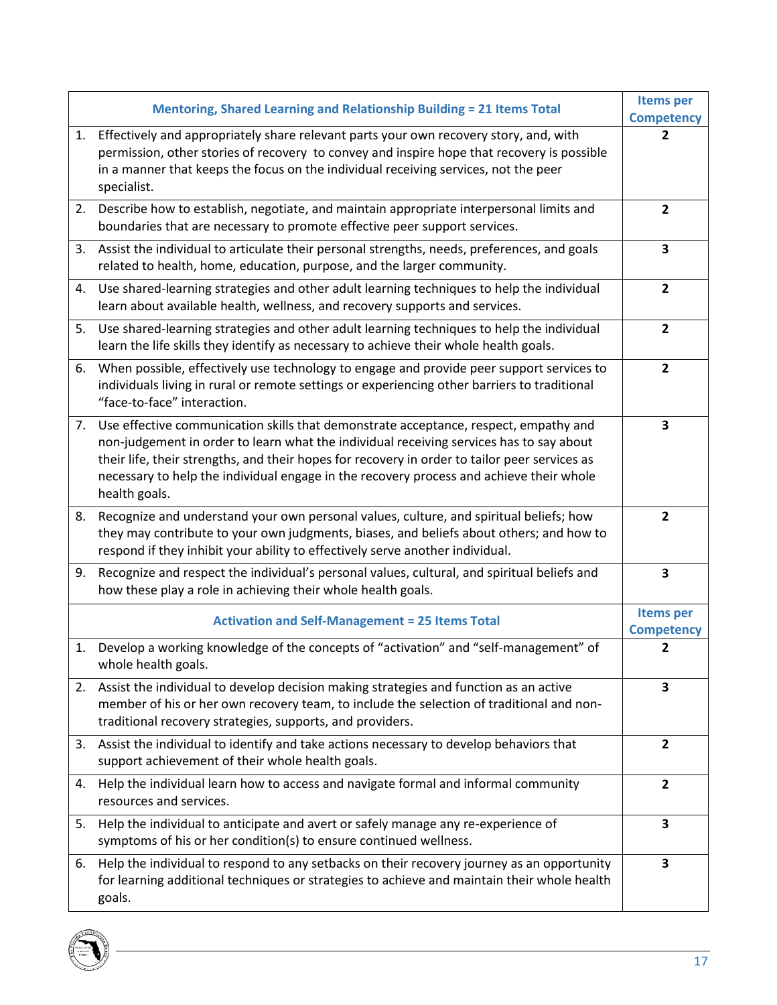|    | Mentoring, Shared Learning and Relationship Building = 21 Items Total                                                                                                                                                                                                                                                                                                                           | <b>Items per</b><br><b>Competency</b> |
|----|-------------------------------------------------------------------------------------------------------------------------------------------------------------------------------------------------------------------------------------------------------------------------------------------------------------------------------------------------------------------------------------------------|---------------------------------------|
| 1. | Effectively and appropriately share relevant parts your own recovery story, and, with<br>permission, other stories of recovery to convey and inspire hope that recovery is possible<br>in a manner that keeps the focus on the individual receiving services, not the peer<br>specialist.                                                                                                       | 2                                     |
| 2. | Describe how to establish, negotiate, and maintain appropriate interpersonal limits and<br>boundaries that are necessary to promote effective peer support services.                                                                                                                                                                                                                            | $\mathbf{2}$                          |
| 3. | Assist the individual to articulate their personal strengths, needs, preferences, and goals<br>related to health, home, education, purpose, and the larger community.                                                                                                                                                                                                                           | $\overline{\mathbf{3}}$               |
| 4. | Use shared-learning strategies and other adult learning techniques to help the individual<br>learn about available health, wellness, and recovery supports and services.                                                                                                                                                                                                                        | $\mathbf{2}$                          |
| 5. | Use shared-learning strategies and other adult learning techniques to help the individual<br>learn the life skills they identify as necessary to achieve their whole health goals.                                                                                                                                                                                                              | $\overline{2}$                        |
| 6. | When possible, effectively use technology to engage and provide peer support services to<br>individuals living in rural or remote settings or experiencing other barriers to traditional<br>"face-to-face" interaction.                                                                                                                                                                         | $\mathbf{2}$                          |
|    | 7. Use effective communication skills that demonstrate acceptance, respect, empathy and<br>non-judgement in order to learn what the individual receiving services has to say about<br>their life, their strengths, and their hopes for recovery in order to tailor peer services as<br>necessary to help the individual engage in the recovery process and achieve their whole<br>health goals. | 3                                     |
| 8. | Recognize and understand your own personal values, culture, and spiritual beliefs; how<br>they may contribute to your own judgments, biases, and beliefs about others; and how to<br>respond if they inhibit your ability to effectively serve another individual.                                                                                                                              | $\overline{2}$                        |
|    | 9. Recognize and respect the individual's personal values, cultural, and spiritual beliefs and<br>how these play a role in achieving their whole health goals.                                                                                                                                                                                                                                  | 3                                     |
|    | <b>Activation and Self-Management = 25 Items Total</b>                                                                                                                                                                                                                                                                                                                                          | <b>Items per</b><br><b>Competency</b> |
|    | 1. Develop a working knowledge of the concepts of "activation" and "self-management" of<br>whole health goals.                                                                                                                                                                                                                                                                                  | $\mathbf{2}$                          |
|    | 2. Assist the individual to develop decision making strategies and function as an active<br>member of his or her own recovery team, to include the selection of traditional and non-<br>traditional recovery strategies, supports, and providers.                                                                                                                                               | 3                                     |
| 3. | Assist the individual to identify and take actions necessary to develop behaviors that<br>support achievement of their whole health goals.                                                                                                                                                                                                                                                      | $\overline{2}$                        |
| 4. | Help the individual learn how to access and navigate formal and informal community<br>resources and services.                                                                                                                                                                                                                                                                                   | $\mathbf{2}$                          |
| 5. | Help the individual to anticipate and avert or safely manage any re-experience of<br>symptoms of his or her condition(s) to ensure continued wellness.                                                                                                                                                                                                                                          | 3                                     |
| 6. | Help the individual to respond to any setbacks on their recovery journey as an opportunity<br>for learning additional techniques or strategies to achieve and maintain their whole health<br>goals.                                                                                                                                                                                             | 3                                     |